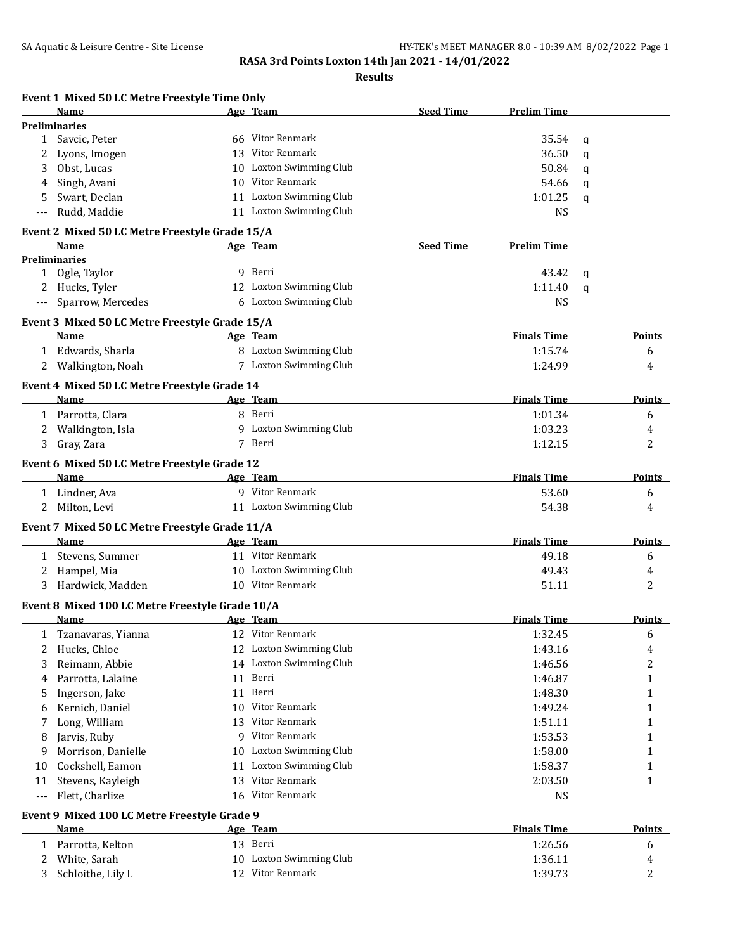|        | Event 1 Mixed 50 LC Metre Freestyle Time Only<br>Name   |    | Age Team                    | <b>Seed Time</b> | <b>Prelim Time</b> |   |               |
|--------|---------------------------------------------------------|----|-----------------------------|------------------|--------------------|---|---------------|
|        | <b>Preliminaries</b>                                    |    |                             |                  |                    |   |               |
| 1      | Savcic, Peter                                           |    | 66 Vitor Renmark            |                  | 35.54              | q |               |
| 2      | Lyons, Imogen                                           |    | 13 Vitor Renmark            |                  | 36.50              | q |               |
| 3      | Obst, Lucas                                             | 10 | <b>Loxton Swimming Club</b> |                  | 50.84              | q |               |
| 4      | Singh, Avani                                            |    | 10 Vitor Renmark            |                  | 54.66              | q |               |
| 5      | Swart, Declan                                           |    | 11 Loxton Swimming Club     |                  | 1:01.25            | a |               |
|        | Rudd, Maddie                                            |    | 11 Loxton Swimming Club     |                  | <b>NS</b>          |   |               |
|        | Event 2 Mixed 50 LC Metre Freestyle Grade 15/A<br>Name  |    | Age Team                    | <b>Seed Time</b> | <b>Prelim Time</b> |   |               |
|        | <b>Preliminaries</b>                                    |    |                             |                  |                    |   |               |
|        | 1 Ogle, Taylor                                          |    | 9 Berri                     |                  | 43.42              | q |               |
|        | Hucks, Tyler                                            |    | 12 Loxton Swimming Club     |                  | 1:11.40            | q |               |
|        | Sparrow, Mercedes                                       |    | 6 Loxton Swimming Club      |                  | NS                 |   |               |
|        | Event 3 Mixed 50 LC Metre Freestyle Grade 15/A          |    |                             |                  |                    |   |               |
|        | Name                                                    |    | Age Team                    |                  | <b>Finals Time</b> |   | <b>Points</b> |
|        | 1 Edwards, Sharla                                       |    | 8 Loxton Swimming Club      |                  | 1:15.74            |   | 6             |
|        | Walkington, Noah                                        |    | 7 Loxton Swimming Club      |                  | 1:24.99            |   | 4             |
|        | Event 4 Mixed 50 LC Metre Freestyle Grade 14            |    |                             |                  |                    |   |               |
|        | Name                                                    |    | Age Team                    |                  | <b>Finals Time</b> |   | <b>Points</b> |
|        | 1 Parrotta, Clara                                       |    | 8 Berri                     |                  | 1:01.34            |   | 6             |
| 2      | Walkington, Isla                                        |    | 9 Loxton Swimming Club      |                  | 1:03.23            |   | 4             |
| 3      | Gray, Zara                                              |    | 7 Berri                     |                  | 1:12.15            |   | 2             |
|        | Event 6 Mixed 50 LC Metre Freestyle Grade 12            |    |                             |                  |                    |   |               |
|        | Name                                                    |    | Age Team                    |                  | <b>Finals Time</b> |   | <b>Points</b> |
|        | 1 Lindner, Ava                                          |    | 9 Vitor Renmark             |                  | 53.60              |   | 6             |
| 2      | Milton, Levi                                            |    | 11 Loxton Swimming Club     |                  | 54.38              |   | 4             |
|        | Event 7 Mixed 50 LC Metre Freestyle Grade 11/A          |    |                             |                  |                    |   |               |
|        | Name                                                    |    | Age Team                    |                  | <b>Finals Time</b> |   | <b>Points</b> |
|        | 1 Stevens, Summer                                       |    | 11 Vitor Renmark            |                  | 49.18              |   | 6             |
| 2      | Hampel, Mia                                             |    | 10 Loxton Swimming Club     |                  | 49.43              |   | 4             |
|        | 3 Hardwick, Madden                                      |    | 10 Vitor Renmark            |                  | 51.11              |   | 2             |
|        | Event 8 Mixed 100 LC Metre Freestyle Grade 10/A<br>Name |    | Age Team                    |                  | <b>Finals Time</b> |   | Points        |
|        | Tzanavaras, Yianna                                      |    | 12 Vitor Renmark            |                  | 1:32.45            |   |               |
| 1<br>2 | Hucks, Chloe                                            |    | 12 Loxton Swimming Club     |                  | 1:43.16            |   | 6<br>4        |
| 3      | Reimann, Abbie                                          |    | 14 Loxton Swimming Club     |                  | 1:46.56            |   | 2             |
| 4      | Parrotta, Lalaine                                       |    | 11 Berri                    |                  | 1:46.87            |   | 1             |
| 5      | Ingerson, Jake                                          | 11 | Berri                       |                  | 1:48.30            |   | 1             |
| 6      | Kernich, Daniel                                         | 10 | Vitor Renmark               |                  | 1:49.24            |   | 1             |
| 7      | Long, William                                           | 13 | Vitor Renmark               |                  | 1:51.11            |   | 1             |
| 8      | Jarvis, Ruby                                            | 9  | Vitor Renmark               |                  | 1:53.53            |   | 1             |
| 9      | Morrison, Danielle                                      | 10 | Loxton Swimming Club        |                  | 1:58.00            |   | 1             |
| 10     | Cockshell, Eamon                                        | 11 | Loxton Swimming Club        |                  | 1:58.37            |   | 1             |
| 11     | Stevens, Kayleigh                                       | 13 | Vitor Renmark               |                  | 2:03.50            |   | 1             |
| ---    | Flett, Charlize                                         | 16 | Vitor Renmark               |                  | <b>NS</b>          |   |               |
|        | Event 9 Mixed 100 LC Metre Freestyle Grade 9            |    |                             |                  |                    |   |               |
|        | Name                                                    |    | <u>Age Team</u>             |                  | <b>Finals Time</b> |   | <b>Points</b> |
| 1      | Parrotta, Kelton                                        |    | 13 Berri                    |                  | 1:26.56            |   | 6             |
|        | White, Sarah                                            | 10 | Loxton Swimming Club        |                  | 1:36.11            |   | 4             |
| 2      |                                                         |    |                             |                  |                    |   |               |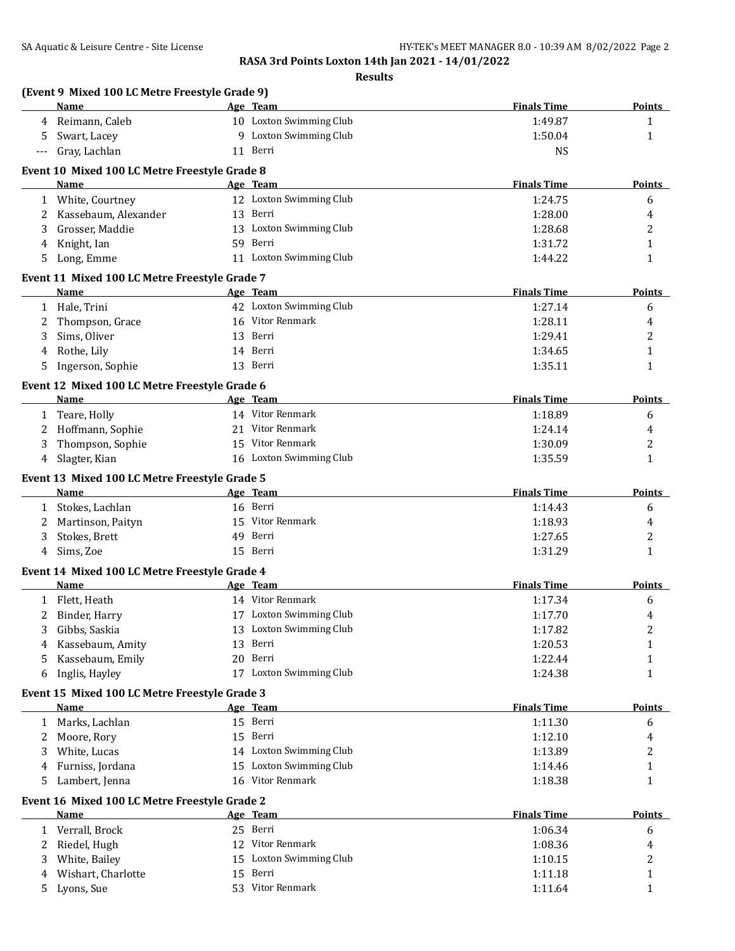|     | (Event 9 Mixed 100 LC Metre Freestyle Grade 9)<br>Name | Age Team                | <b>Finals Time</b> | <b>Points</b> |
|-----|--------------------------------------------------------|-------------------------|--------------------|---------------|
| 4   | Reimann, Caleb                                         | 10 Loxton Swimming Club | 1:49.87            | $\mathbf{1}$  |
| 5   | Swart, Lacey                                           | 9 Loxton Swimming Club  | 1:50.04            | $\mathbf{1}$  |
| --- | Gray, Lachlan                                          | 11 Berri                | <b>NS</b>          |               |
|     | Event 10 Mixed 100 LC Metre Freestyle Grade 8          |                         |                    |               |
|     | <b>Name</b>                                            | Age Team                | <b>Finals Time</b> | <b>Points</b> |
|     | 1 White, Courtney                                      | 12 Loxton Swimming Club | 1:24.75            | 6             |
| 2   | Kassebaum, Alexander                                   | 13 Berri                | 1:28.00            | 4             |
| 3   | Grosser, Maddie                                        | 13 Loxton Swimming Club | 1:28.68            | 2             |
| 4   | Knight, Ian                                            | 59 Berri                | 1:31.72            | 1             |
| 5   | Long, Emme                                             | 11 Loxton Swimming Club | 1:44.22            | 1             |
|     | Event 11 Mixed 100 LC Metre Freestyle Grade 7          |                         |                    |               |
|     | Name                                                   | Age Team                | <b>Finals Time</b> | <b>Points</b> |
|     | 1 Hale, Trini                                          | 42 Loxton Swimming Club | 1:27.14            | 6             |
| 2   | Thompson, Grace                                        | 16 Vitor Renmark        | 1:28.11            |               |
| 3   | Sims, Oliver                                           | 13 Berri                | 1:29.41            |               |
| 4   | Rothe, Lily                                            | 14 Berri                | 1:34.65            |               |
| 5   | Ingerson, Sophie                                       | 13 Berri                | 1:35.11            |               |
|     | Event 12 Mixed 100 LC Metre Freestyle Grade 6          |                         |                    |               |
|     | Name                                                   | Age Team                | <b>Finals Time</b> | <b>Points</b> |
|     | 1 Teare, Holly                                         | 14 Vitor Renmark        | 1:18.89            |               |
| 2   | Hoffmann, Sophie                                       | 21 Vitor Renmark        | 1:24.14            |               |
| 3   | Thompson, Sophie                                       | 15 Vitor Renmark        | 1:30.09            |               |
| 4   | Slagter, Kian                                          | 16 Loxton Swimming Club | 1:35.59            |               |
|     | Event 13 Mixed 100 LC Metre Freestyle Grade 5          |                         |                    |               |
|     | Name                                                   | Age Team                | <b>Finals Time</b> | Points        |
| 1   | Stokes, Lachlan                                        | 16 Berri                | 1:14.43            |               |
| 2   | Martinson, Paityn                                      | 15 Vitor Renmark        | 1:18.93            |               |
| 3   | Stokes, Brett                                          | 49 Berri                | 1:27.65            |               |
| 4   | Sims, Zoe                                              | 15 Berri                | 1:31.29            |               |
|     | Event 14 Mixed 100 LC Metre Freestyle Grade 4          |                         |                    |               |
|     | Name                                                   | Age Team                | <b>Finals Time</b> | <b>Points</b> |
| 1   | Flett, Heath                                           | 14 Vitor Renmark        | 1:17.34            |               |
| 2   | Binder, Harry                                          | 17 Loxton Swimming Club | 1:17.70            |               |
| 3   | Gibbs, Saskia                                          | 13 Loxton Swimming Club | 1:17.82            |               |
| 4   | Kassebaum, Amity                                       | 13 Berri                | 1:20.53            |               |
| 5   | Kassebaum, Emily                                       | 20 Berri                | 1:22.44            |               |
| 6   | Inglis, Hayley                                         | 17 Loxton Swimming Club | 1:24.38            |               |
|     | Event 15 Mixed 100 LC Metre Freestyle Grade 3          |                         |                    |               |
|     | Name                                                   | Age Team                | <b>Finals Time</b> | <b>Points</b> |
| 1   | Marks, Lachlan                                         | 15 Berri                | 1:11.30            |               |
| 2   | Moore, Rory                                            | 15 Berri                | 1:12.10            |               |
| 3   | White, Lucas                                           | 14 Loxton Swimming Club | 1:13.89            |               |
| 4   | Furniss, Jordana                                       | 15 Loxton Swimming Club | 1:14.46            |               |
| 5   | Lambert, Jenna                                         | 16 Vitor Renmark        | 1:18.38            |               |
|     | Event 16 Mixed 100 LC Metre Freestyle Grade 2          |                         |                    |               |
|     | Name                                                   | Age Team                | <b>Finals Time</b> | <b>Points</b> |
| 1   | Verrall, Brock                                         | 25 Berri                | 1:06.34            |               |
| 2   | Riedel, Hugh                                           | 12 Vitor Renmark        | 1:08.36            |               |
| 3   | White, Bailey                                          | 15 Loxton Swimming Club | 1:10.15            |               |
|     | Wishart, Charlotte                                     | 15 Berri                | 1:11.18            |               |
| 4   |                                                        |                         |                    |               |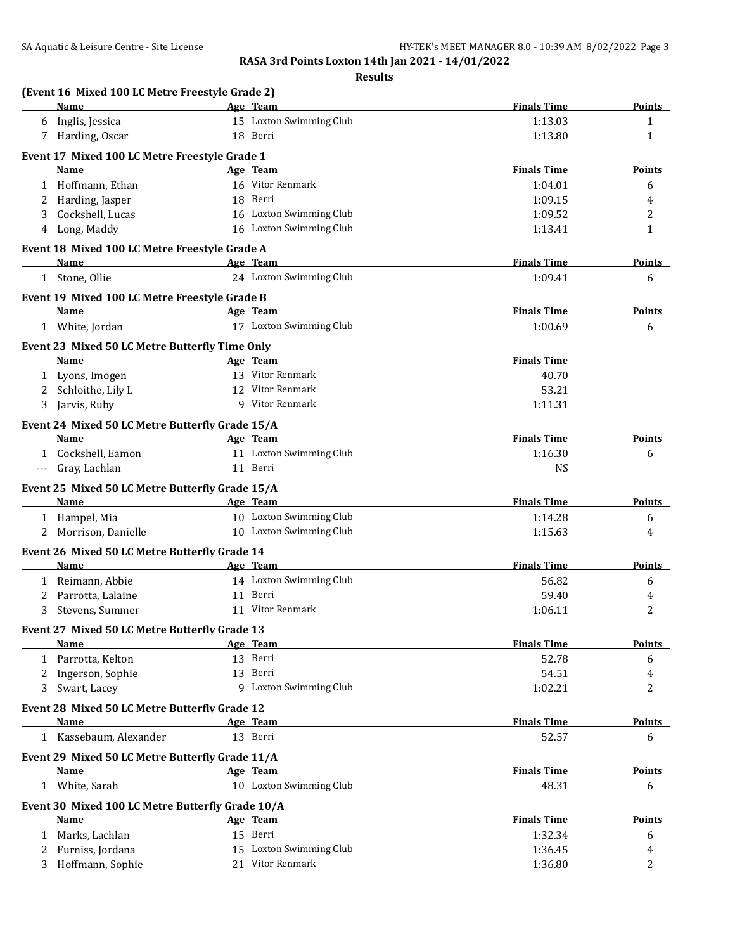| (Event 16 Mixed 100 LC Metre Freestyle Grade 2)                |                         |                             |                    |
|----------------------------------------------------------------|-------------------------|-----------------------------|--------------------|
| Name                                                           | Age Team                | <b>Finals Time</b>          | <b>Points</b>      |
| 6 Inglis, Jessica                                              | 15 Loxton Swimming Club | 1:13.03                     | 1                  |
| 7 Harding, Oscar                                               | 18 Berri                | 1:13.80                     | 1                  |
| Event 17 Mixed 100 LC Metre Freestyle Grade 1                  |                         |                             |                    |
| Name                                                           | Age Team                | <b>Finals Time</b>          | <b>Points</b>      |
| 1 Hoffmann, Ethan                                              | 16 Vitor Renmark        | 1:04.01                     | 6                  |
| 2 Harding, Jasper                                              | 18 Berri                | 1:09.15                     | 4                  |
| Cockshell, Lucas<br>3                                          | 16 Loxton Swimming Club | 1:09.52                     | 2                  |
| 4 Long, Maddy                                                  | 16 Loxton Swimming Club | 1:13.41                     | 1                  |
| Event 18 Mixed 100 LC Metre Freestyle Grade A                  |                         |                             |                    |
| Name                                                           | Age Team                | <b>Finals Time</b>          | <b>Points</b>      |
| 1 Stone, Ollie                                                 | 24 Loxton Swimming Club | 1:09.41                     | 6                  |
| Event 19 Mixed 100 LC Metre Freestyle Grade B                  |                         |                             |                    |
| Name                                                           | Age Team                | <b>Finals Time</b>          | <b>Points</b>      |
| 1 White, Jordan                                                | 17 Loxton Swimming Club | 1:00.69                     | 6                  |
| Event 23 Mixed 50 LC Metre Butterfly Time Only                 |                         |                             |                    |
| Name<br><u> 1990 - Johann John Stone, martin eta politikar</u> | Age Team                | <b>Finals Time</b>          |                    |
| 1 Lyons, Imogen                                                | 13 Vitor Renmark        | 40.70                       |                    |
| 2 Schloithe, Lily L                                            | 12 Vitor Renmark        | 53.21                       |                    |
| 3 Jarvis, Ruby                                                 | 9 Vitor Renmark         | 1:11.31                     |                    |
| Event 24 Mixed 50 LC Metre Butterfly Grade 15/A                |                         |                             |                    |
| Name                                                           | Age Team                | <b>Finals Time</b>          | <b>Points</b>      |
| 1 Cockshell, Eamon                                             | 11 Loxton Swimming Club | 1:16.30                     | 6                  |
| --- Gray, Lachlan                                              | 11 Berri                | <b>NS</b>                   |                    |
| Event 25 Mixed 50 LC Metre Butterfly Grade 15/A                |                         |                             |                    |
| Name                                                           | Age Team                | <b>Finals Time</b>          | <b>Points</b>      |
| 1 Hampel, Mia                                                  | 10 Loxton Swimming Club | 1:14.28                     | 6                  |
| 2 Morrison, Danielle                                           | 10 Loxton Swimming Club | 1:15.63                     | 4                  |
| Event 26 Mixed 50 LC Metre Butterfly Grade 14                  |                         |                             |                    |
| <b>Name</b>                                                    | Age Team                | <b>Finals Time</b>          | <b>Points</b>      |
| Reimann, Abbie                                                 | 14 Loxton Swimming Club | 56.82                       | 6                  |
| 1<br>Parrotta, Lalaine<br>2                                    | 11 Berri                | 59.40                       |                    |
| Stevens, Summer<br>3                                           | 11 Vitor Renmark        | 1:06.11                     | 4<br>2             |
|                                                                |                         |                             |                    |
| Event 27 Mixed 50 LC Metre Butterfly Grade 13<br>Name          | Age Team                | <b>Finals Time</b>          | <b>Points</b>      |
| 1 Parrotta, Kelton                                             | 13 Berri                | 52.78                       |                    |
|                                                                | 13 Berri                |                             | 6                  |
| Ingerson, Sophie<br>2<br>Swart, Lacey<br>3                     | 9 Loxton Swimming Club  | 54.51<br>1:02.21            | 4<br>2             |
|                                                                |                         |                             |                    |
| Event 28 Mixed 50 LC Metre Butterfly Grade 12                  |                         |                             |                    |
| Name<br>1 Kassebaum, Alexander                                 | Age Team<br>13 Berri    | <b>Finals Time</b><br>52.57 | <b>Points</b><br>6 |
|                                                                |                         |                             |                    |
| Event 29 Mixed 50 LC Metre Butterfly Grade 11/A<br>Name        | Age Team                | <b>Finals Time</b>          | <b>Points</b>      |
| 1 White, Sarah                                                 | 10 Loxton Swimming Club | 48.31                       | 6                  |
|                                                                |                         |                             |                    |
| Event 30 Mixed 100 LC Metre Butterfly Grade 10/A<br>Name       | Age Team                | <b>Finals Time</b>          | <b>Points</b>      |
| Marks, Lachlan<br>1                                            | 15 Berri                | 1:32.34                     | 6                  |
| 2 Furniss, Jordana                                             | 15 Loxton Swimming Club | 1:36.45                     | 4                  |
| 3 Hoffmann, Sophie                                             | 21 Vitor Renmark        | 1:36.80                     | 2                  |
|                                                                |                         |                             |                    |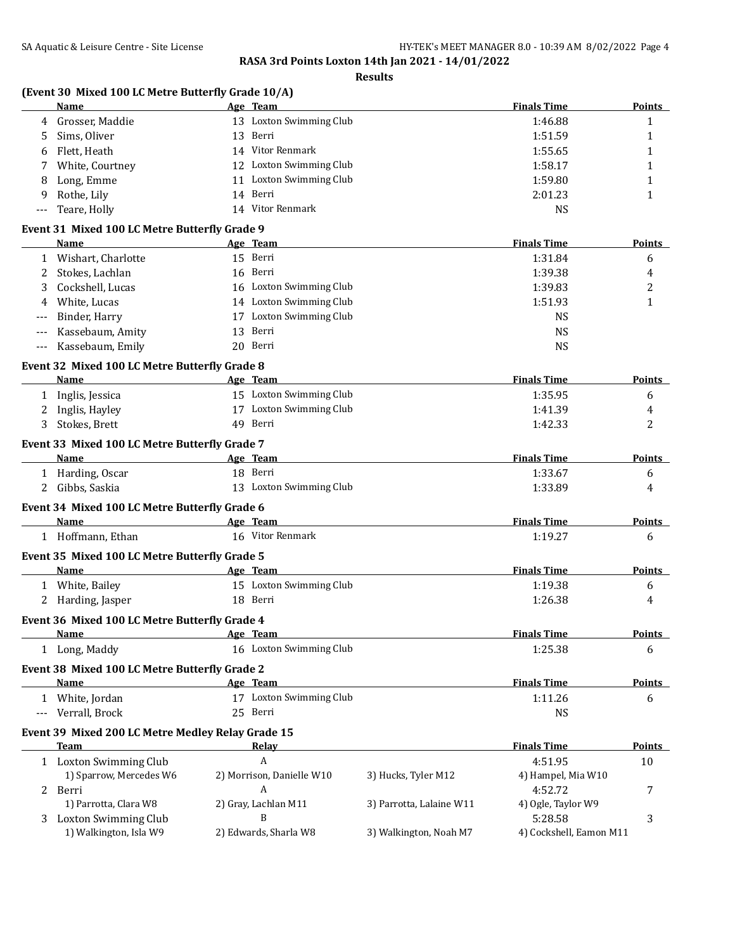|       | (Event 30 Mixed 100 LC Metre Butterfly Grade 10/A)<br>Name |          | Age Team                  |                          | <b>Finals Time</b>      | Points        |
|-------|------------------------------------------------------------|----------|---------------------------|--------------------------|-------------------------|---------------|
| 4     | Grosser, Maddie                                            |          | 13 Loxton Swimming Club   |                          | 1:46.88                 | $\mathbf{1}$  |
| 5     | Sims, Oliver                                               |          | 13 Berri                  |                          | 1:51.59                 | 1             |
| 6     | Flett, Heath                                               |          | 14 Vitor Renmark          |                          | 1:55.65                 | 1             |
| 7     | White, Courtney                                            |          | 12 Loxton Swimming Club   |                          | 1:58.17                 | 1             |
| 8     | Long, Emme                                                 |          | 11 Loxton Swimming Club   |                          | 1:59.80                 | 1             |
| 9     | Rothe, Lily                                                |          | 14 Berri                  |                          | 2:01.23                 | 1             |
| ---   | Teare, Holly                                               |          | 14 Vitor Renmark          |                          | <b>NS</b>               |               |
|       | Event 31 Mixed 100 LC Metre Butterfly Grade 9              |          |                           |                          |                         |               |
|       | <b>Name</b>                                                |          | Age Team                  |                          | <b>Finals Time</b>      | <b>Points</b> |
|       | 1 Wishart, Charlotte                                       |          | 15 Berri                  |                          | 1:31.84                 | 6             |
| 2     | Stokes, Lachlan                                            |          | 16 Berri                  |                          | 1:39.38                 | 4             |
| 3     | Cockshell, Lucas                                           |          | 16 Loxton Swimming Club   |                          | 1:39.83                 | 2             |
| 4     | White, Lucas                                               |          | 14 Loxton Swimming Club   |                          | 1:51.93                 | $\mathbf{1}$  |
| ---   | Binder, Harry                                              |          | 17 Loxton Swimming Club   |                          | <b>NS</b>               |               |
| $---$ | Kassebaum, Amity                                           |          | 13 Berri                  |                          | <b>NS</b>               |               |
| ---   | Kassebaum, Emily                                           |          | 20 Berri                  |                          | <b>NS</b>               |               |
|       | Event 32 Mixed 100 LC Metre Butterfly Grade 8              |          |                           |                          |                         |               |
|       | Name                                                       | Age Team |                           |                          | <b>Finals Time</b>      | Points        |
|       | 1 Inglis, Jessica                                          |          | 15 Loxton Swimming Club   |                          | 1:35.95                 | 6             |
| 2     | Inglis, Hayley                                             |          | 17 Loxton Swimming Club   |                          | 1:41.39                 | 4             |
| 3     | Stokes, Brett                                              |          | 49 Berri                  |                          | 1:42.33                 | 2             |
|       |                                                            |          |                           |                          |                         |               |
|       | Event 33 Mixed 100 LC Metre Butterfly Grade 7              |          |                           |                          | <b>Finals Time</b>      |               |
|       | Name                                                       |          | Age Team                  |                          |                         | Points        |
|       | 1 Harding, Oscar                                           |          | 18 Berri                  |                          | 1:33.67                 | 6             |
|       | 2 Gibbs, Saskia                                            |          | 13 Loxton Swimming Club   |                          | 1:33.89                 | 4             |
|       | Event 34 Mixed 100 LC Metre Butterfly Grade 6              |          |                           |                          |                         |               |
|       | Name                                                       | Age Team |                           |                          | <b>Finals Time</b>      | <b>Points</b> |
|       | 1 Hoffmann, Ethan                                          |          | 16 Vitor Renmark          |                          | 1:19.27                 | 6             |
|       | Event 35 Mixed 100 LC Metre Butterfly Grade 5              |          |                           |                          |                         |               |
|       | Name                                                       | Age Team |                           |                          | <b>Finals Time</b>      | <b>Points</b> |
|       | 1 White, Bailey                                            |          | 15 Loxton Swimming Club   |                          | 1:19.38                 | 6             |
|       | 2 Harding, Jasper                                          |          | 18 Berri                  |                          | 1:26.38                 | 4             |
|       | Event 36 Mixed 100 LC Metre Butterfly Grade 4              |          |                           |                          |                         |               |
|       | <b>Name</b>                                                |          | Age Team                  |                          | <b>Finals Time</b>      | Points        |
|       | 1 Long, Maddy                                              |          | 16 Loxton Swimming Club   |                          | 1:25.38                 | 6             |
|       | Event 38 Mixed 100 LC Metre Butterfly Grade 2              |          |                           |                          |                         |               |
|       | Name                                                       |          | Age Team                  |                          | <b>Finals Time</b>      | <b>Points</b> |
|       | 1 White, Jordan                                            |          | 17 Loxton Swimming Club   |                          | 1:11.26                 | 6             |
|       | --- Verrall, Brock                                         |          | 25 Berri                  |                          | <b>NS</b>               |               |
|       | Event 39 Mixed 200 LC Metre Medley Relay Grade 15          |          |                           |                          |                         |               |
|       | <b>Team</b>                                                |          | <u>Relay</u>              |                          | <b>Finals Time</b>      | Points        |
|       | 1 Loxton Swimming Club                                     |          | A                         |                          | 4:51.95                 | 10            |
|       | 1) Sparrow, Mercedes W6                                    |          | 2) Morrison, Danielle W10 | 3) Hucks, Tyler M12      | 4) Hampel, Mia W10      |               |
|       | 2 Berri                                                    |          | A                         |                          | 4:52.72                 | 7             |
|       | 1) Parrotta, Clara W8                                      |          | 2) Gray, Lachlan M11      | 3) Parrotta, Lalaine W11 | 4) Ogle, Taylor W9      |               |
|       | 3 Loxton Swimming Club                                     |          | B                         |                          | 5:28.58                 | 3             |
|       | 1) Walkington, Isla W9                                     |          | 2) Edwards, Sharla W8     | 3) Walkington, Noah M7   | 4) Cockshell, Eamon M11 |               |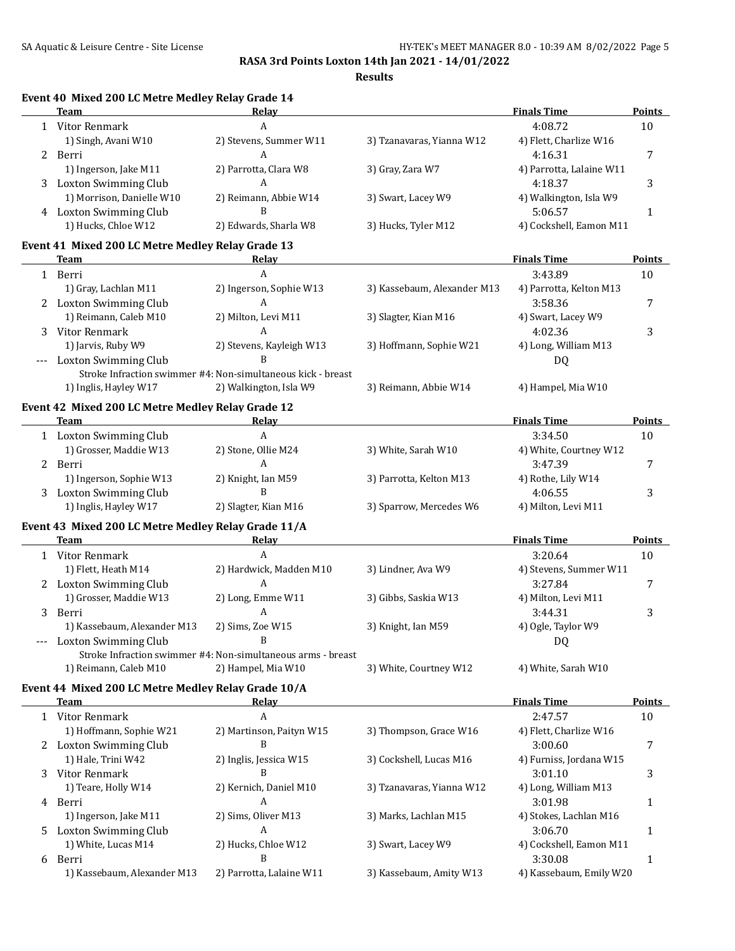|   | Team                                                               | Relay                                                        |                             | <b>Finals Time</b>       | Points        |
|---|--------------------------------------------------------------------|--------------------------------------------------------------|-----------------------------|--------------------------|---------------|
|   | 1 Vitor Renmark                                                    | A                                                            |                             | 4:08.72                  | 10            |
|   | 1) Singh, Avani W10                                                | 2) Stevens, Summer W11                                       | 3) Tzanavaras, Yianna W12   | 4) Flett, Charlize W16   |               |
|   | 2 Berri                                                            | A                                                            |                             | 4:16.31                  | 7             |
|   | 1) Ingerson, Jake M11                                              | 2) Parrotta, Clara W8                                        | 3) Gray, Zara W7            | 4) Parrotta, Lalaine W11 |               |
|   | 3 Loxton Swimming Club                                             | A                                                            |                             | 4:18.37                  | 3             |
|   | 1) Morrison, Danielle W10                                          | 2) Reimann, Abbie W14                                        | 3) Swart, Lacey W9          | 4) Walkington, Isla W9   |               |
|   | 4 Loxton Swimming Club                                             | B                                                            |                             | 5:06.57                  | $\mathbf{1}$  |
|   | 1) Hucks, Chloe W12                                                | 2) Edwards, Sharla W8                                        | 3) Hucks, Tyler M12         | 4) Cockshell, Eamon M11  |               |
|   | Event 41 Mixed 200 LC Metre Medley Relay Grade 13                  |                                                              |                             |                          |               |
|   | Team                                                               | Relay                                                        |                             | <b>Finals Time</b>       | Points        |
|   | 1 Berri                                                            | A                                                            |                             | 3:43.89                  | 10            |
|   | 1) Gray, Lachlan M11                                               | 2) Ingerson, Sophie W13                                      | 3) Kassebaum, Alexander M13 | 4) Parrotta, Kelton M13  |               |
|   | 2 Loxton Swimming Club                                             | A                                                            |                             | 3:58.36                  | 7             |
|   | 1) Reimann, Caleb M10                                              |                                                              |                             |                          |               |
|   |                                                                    | 2) Milton, Levi M11<br>$\mathbf{A}$                          | 3) Slagter, Kian M16        | 4) Swart, Lacey W9       |               |
| 3 | Vitor Renmark                                                      |                                                              |                             | 4:02.36                  | 3             |
|   | 1) Jarvis, Ruby W9                                                 | 2) Stevens, Kayleigh W13                                     | 3) Hoffmann, Sophie W21     | 4) Long, William M13     |               |
|   | Loxton Swimming Club                                               | B                                                            |                             | DQ                       |               |
|   |                                                                    | Stroke Infraction swimmer #4: Non-simultaneous kick - breast |                             |                          |               |
|   | 1) Inglis, Hayley W17                                              | 2) Walkington, Isla W9                                       | 3) Reimann, Abbie W14       | 4) Hampel, Mia W10       |               |
|   | Event 42 Mixed 200 LC Metre Medley Relay Grade 12                  |                                                              |                             |                          |               |
|   | <b>Team</b>                                                        | Relay                                                        |                             | <b>Finals Time</b>       | Points        |
|   | 1 Loxton Swimming Club                                             | $\mathbf{A}$                                                 |                             | 3:34.50                  | 10            |
|   | 1) Grosser, Maddie W13                                             | 2) Stone, Ollie M24                                          | 3) White, Sarah W10         | 4) White, Courtney W12   |               |
|   | 2 Berri                                                            | A                                                            |                             | 3:47.39                  | 7             |
|   | 1) Ingerson, Sophie W13                                            | 2) Knight, Ian M59                                           | 3) Parrotta, Kelton M13     | 4) Rothe, Lily W14       |               |
|   | 3 Loxton Swimming Club                                             | B                                                            |                             | 4:06.55                  | 3             |
|   | 1) Inglis, Hayley W17                                              | 2) Slagter, Kian M16                                         | 3) Sparrow, Mercedes W6     | 4) Milton, Levi M11      |               |
|   |                                                                    |                                                              |                             |                          |               |
|   | Event 43 Mixed 200 LC Metre Medley Relay Grade 11/A<br><b>Team</b> | Relay                                                        |                             | <b>Finals Time</b>       | <b>Points</b> |
|   |                                                                    | A                                                            |                             | 3:20.64                  |               |
|   | 1 Vitor Renmark                                                    |                                                              |                             |                          | 10            |
|   | 1) Flett, Heath M14                                                | 2) Hardwick, Madden M10                                      | 3) Lindner, Ava W9          | 4) Stevens, Summer W11   |               |
|   | 2 Loxton Swimming Club                                             | A                                                            |                             | 3:27.84                  | 7             |
|   | 1) Grosser, Maddie W13                                             | 2) Long, Emme W11                                            | 3) Gibbs, Saskia W13        | 4) Milton, Levi M11      |               |
|   | 3 Berri                                                            | A                                                            |                             | 3:44.31                  | 3             |
|   | 1) Kassebaum, Alexander M13                                        | 2) Sims, Zoe W15                                             | 3) Knight, Ian M59          | 4) Ogle, Taylor W9       |               |
|   | <b>Loxton Swimming Club</b>                                        | B                                                            |                             | DQ                       |               |
|   |                                                                    | Stroke Infraction swimmer #4: Non-simultaneous arms - breast |                             |                          |               |
|   | 1) Reimann, Caleb M10                                              | 2) Hampel, Mia W10                                           | 3) White, Courtney W12      | 4) White, Sarah W10      |               |
|   | Event 44 Mixed 200 LC Metre Medley Relay Grade 10/A                |                                                              |                             |                          |               |
|   | <b>Team</b>                                                        | <u>Relay</u>                                                 |                             | <b>Finals Time</b>       | <b>Points</b> |
| 1 | Vitor Renmark                                                      | A                                                            |                             | 2:47.57                  | 10            |
|   | 1) Hoffmann, Sophie W21                                            | 2) Martinson, Paityn W15                                     | 3) Thompson, Grace W16      | 4) Flett, Charlize W16   |               |
|   | 2 Loxton Swimming Club                                             | B                                                            |                             | 3:00.60                  | 7             |
|   |                                                                    |                                                              |                             |                          |               |
|   |                                                                    |                                                              |                             |                          |               |
|   | 1) Hale, Trini W42                                                 | 2) Inglis, Jessica W15<br>B                                  | 3) Cockshell, Lucas M16     | 4) Furniss, Jordana W15  |               |
|   | Vitor Renmark                                                      |                                                              |                             | 3:01.10                  | 3             |
|   | 1) Teare, Holly W14                                                | 2) Kernich, Daniel M10                                       | 3) Tzanavaras, Yianna W12   | 4) Long, William M13     |               |
|   | 4 Berri                                                            | A                                                            |                             | 3:01.98                  | $\mathbf{1}$  |
|   | 1) Ingerson, Jake M11                                              | 2) Sims, Oliver M13                                          | 3) Marks, Lachlan M15       | 4) Stokes, Lachlan M16   |               |
|   | Loxton Swimming Club                                               | A                                                            |                             | 3:06.70                  | 1             |
|   | 1) White, Lucas M14                                                | 2) Hucks, Chloe W12                                          | 3) Swart, Lacey W9          | 4) Cockshell, Eamon M11  |               |
|   | 6 Berri                                                            | B                                                            |                             | 3:30.08                  | 1             |
|   | 1) Kassebaum, Alexander M13                                        | 2) Parrotta, Lalaine W11                                     | 3) Kassebaum, Amity W13     | 4) Kassebaum, Emily W20  |               |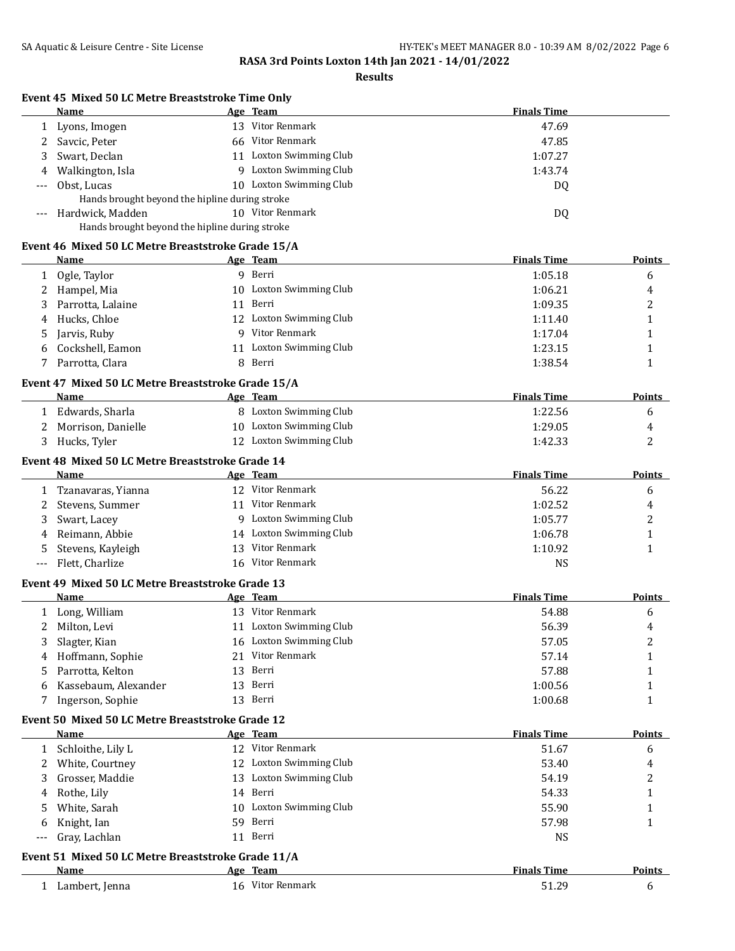#### **Results**

## **Event 45 Mixed 50 LC Metre Breaststroke Time Only**

|       | Name                                           |     | Age Team             | <b>Finals Time</b> |
|-------|------------------------------------------------|-----|----------------------|--------------------|
|       | Lyons, Imogen                                  | 13  | Vitor Renmark        | 47.69              |
|       | 2 Savcic, Peter                                | 66. | Vitor Renmark        | 47.85              |
|       | 3 Swart, Declan                                | 11  | Loxton Swimming Club | 1:07.27            |
|       | 4 Walkington, Isla                             | Q.  | Loxton Swimming Club | 1:43.74            |
| $---$ | Obst. Lucas                                    | 10. | Loxton Swimming Club | DQ                 |
|       | Hands brought beyond the hipline during stroke |     |                      |                    |
|       | --- Hardwick. Madden                           | 10  | Vitor Renmark        | DQ                 |
|       | Hands brought beyond the hipline during stroke |     |                      |                    |

## **Event 46 Mixed 50 LC Metre Breaststroke Grade 15/A**

|     | Name                                               |    | Age Team                | <b>Finals Time</b> | <u>Points</u> |
|-----|----------------------------------------------------|----|-------------------------|--------------------|---------------|
| 1   | Ogle, Taylor                                       |    | 9 Berri                 | 1:05.18            | 6             |
| 2   | Hampel, Mia                                        |    | 10 Loxton Swimming Club | 1:06.21            | 4             |
| 3   | Parrotta, Lalaine                                  | 11 | Berri                   | 1:09.35            | 2             |
| 4   | Hucks, Chloe                                       |    | 12 Loxton Swimming Club | 1:11.40            | 1             |
| 5   | Jarvis, Ruby                                       |    | 9 Vitor Renmark         | 1:17.04            | 1             |
| 6   | Cockshell, Eamon                                   |    | 11 Loxton Swimming Club | 1:23.15            | 1             |
| 7   | Parrotta, Clara                                    |    | 8 Berri                 | 1:38.54            | 1             |
|     | Event 47 Mixed 50 LC Metre Breaststroke Grade 15/A |    |                         |                    |               |
|     | <b>Name</b>                                        |    | Age Team                | <b>Finals Time</b> | <b>Points</b> |
| 1   | Edwards, Sharla                                    |    | 8 Loxton Swimming Club  | 1:22.56            | 6             |
| 2   | Morrison, Danielle                                 |    | 10 Loxton Swimming Club | 1:29.05            | 4             |
| 3   | Hucks, Tyler                                       |    | 12 Loxton Swimming Club | 1:42.33            | 2             |
|     | Event 48 Mixed 50 LC Metre Breaststroke Grade 14   |    |                         |                    |               |
|     | Name                                               |    | <u>Age Team</u>         | <b>Finals Time</b> | <b>Points</b> |
| 1   | Tzanavaras, Yianna                                 |    | 12 Vitor Renmark        | 56.22              | 6             |
| 2   | Stevens, Summer                                    |    | 11 Vitor Renmark        | 1:02.52            | 4             |
| 3   | Swart, Lacey                                       |    | 9 Loxton Swimming Club  | 1:05.77            | 2             |
| 4   | Reimann, Abbie                                     |    | 14 Loxton Swimming Club | 1:06.78            | 1             |
| 5   | Stevens, Kayleigh                                  |    | 13 Vitor Renmark        | 1:10.92            | $\mathbf{1}$  |
| --- | Flett, Charlize                                    |    | 16 Vitor Renmark        | <b>NS</b>          |               |
|     | Event 49 Mixed 50 LC Metre Breaststroke Grade 13   |    |                         |                    |               |
|     | Name                                               |    | Age Team                | <b>Finals Time</b> | Points        |
|     | 1 Long, William                                    |    | 13 Vitor Renmark        | 54.88              | 6             |
| 2   | Milton, Levi                                       |    | 11 Loxton Swimming Club | 56.39              | 4             |
| 3   | Slagter, Kian                                      |    | 16 Loxton Swimming Club | 57.05              | 2             |
| 4   | Hoffmann, Sophie                                   |    | 21 Vitor Renmark        | 57.14              | 1             |
| 5   | Parrotta, Kelton                                   |    | 13 Berri                | 57.88              | 1             |
| 6   | Kassebaum, Alexander                               |    | 13 Berri                | 1:00.56            | 1             |
| 7   | Ingerson, Sophie                                   |    | 13 Berri                | 1:00.68            | 1             |
|     | Event 50 Mixed 50 LC Metre Breaststroke Grade 12   |    |                         |                    |               |
|     | <b>Name</b>                                        |    | Age Team                | <b>Finals Time</b> | <b>Points</b> |
|     | 1 Schloithe, Lily L                                |    | 12 Vitor Renmark        | 51.67              | 6             |
| 2   | White, Courtney                                    |    | 12 Loxton Swimming Club | 53.40              | 4             |
| 3   | Grosser, Maddie                                    |    | 13 Loxton Swimming Club | 54.19              | 2             |
| 4   | Rothe, Lily                                        |    | 14 Berri                | 54.33              | 1             |
| 5   | White, Sarah                                       |    | 10 Loxton Swimming Club | 55.90              | 1             |
| 6   | Knight, Ian                                        |    | 59 Berri                | 57.98              | $\mathbf{1}$  |

# --- Gray, Lachlan 11 Berri NS **Event 51 Mixed 50 LC Metre Breaststroke Grade 11/A**

| Name           | Team<br>Age         | <b>Finals Time</b> | <b>Points</b> |
|----------------|---------------------|--------------------|---------------|
| Lambert, Jenna | Vitor Renmark<br>16 | ۲۱ ລດ<br>J I.Z.    |               |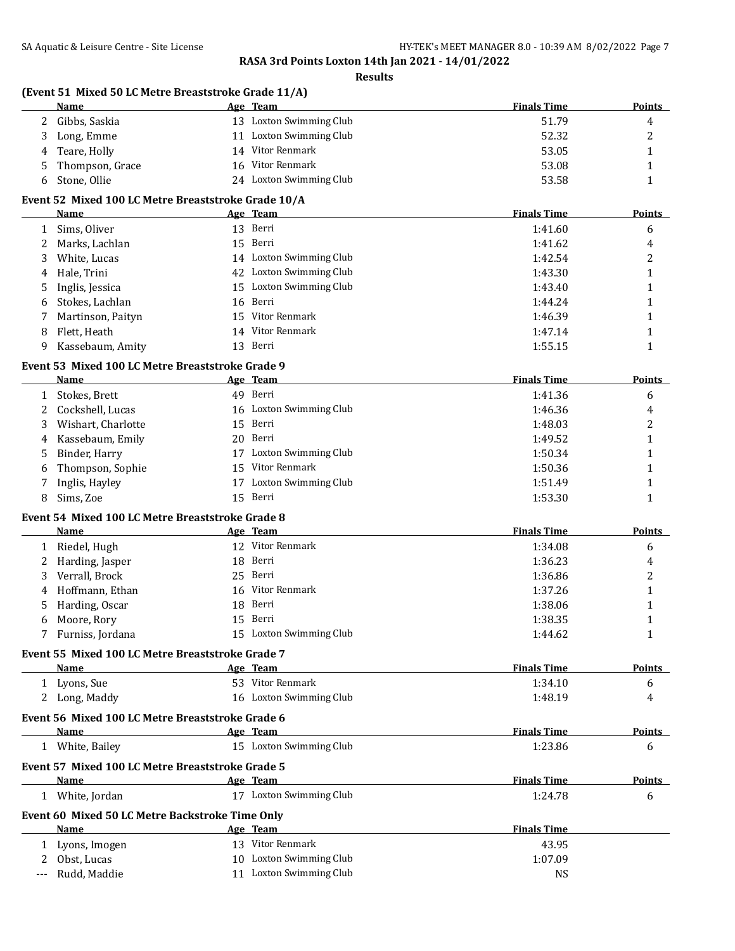**Results**

## **(Event 51 Mixed 50 LC Metre Breaststroke Grade 11/A)**

|    | Name            |    | Age Team                | <b>Finals Time</b> | Points |
|----|-----------------|----|-------------------------|--------------------|--------|
|    | Gibbs, Saskia   |    | 13 Loxton Swimming Club | 51.79              | 4      |
|    | Long, Emme      |    | 11 Loxton Swimming Club | 52.32              | ∼      |
| 4  | Teare, Holly    | 14 | Vitor Renmark           | 53.05              |        |
| 5. | Thompson, Grace |    | 16 Vitor Renmark        | 53.08              |        |
|    | Stone, Ollie    |    | 24 Loxton Swimming Club | 53.58              |        |

## **Event 52 Mixed 100 LC Metre Breaststroke Grade 10/A**

|   | Name                |     | <u>Age Team</u>         | <b>Finals Time</b> | <b>Points</b> |
|---|---------------------|-----|-------------------------|--------------------|---------------|
|   | Sims, Oliver        |     | 13 Berri                | 1:41.60            | 6             |
|   | Marks, Lachlan      |     | 15 Berri                | 1:41.62            | 4             |
| 3 | White, Lucas        |     | 14 Loxton Swimming Club | 1:42.54            | ▵             |
|   | 4 Hale, Trini       |     | 42 Loxton Swimming Club | 1:43.30            |               |
|   | 5 Inglis, Jessica   |     | 15 Loxton Swimming Club | 1:43.40            |               |
| 6 | Stokes, Lachlan     |     | 16 Berri                | 1:44.24            |               |
|   | 7 Martinson, Paityn |     | 15 Vitor Renmark        | 1:46.39            |               |
| 8 | Flett. Heath        |     | 14 Vitor Renmark        | 1:47.14            |               |
| 9 | Kassebaum, Amity    | 13. | Berri                   | 1:55.15            |               |

## **Event 53 Mixed 100 LC Metre Breaststroke Grade 9**

|   | Name               | Age Team                | <b>Finals Time</b> | <b>Points</b> |
|---|--------------------|-------------------------|--------------------|---------------|
|   | Stokes, Brett      | 49 Berri                | 1:41.36            | 6             |
|   | Cockshell, Lucas   | 16 Loxton Swimming Club | 1:46.36            | 4             |
|   | Wishart, Charlotte | 15 Berri                | 1:48.03            | っ<br>▵        |
| 4 | Kassebaum, Emily   | 20 Berri                | 1:49.52            |               |
|   | 5 Binder, Harry    | Loxton Swimming Club    | 1:50.34            |               |
| 6 | Thompson, Sophie   | 15 Vitor Renmark        | 1:50.36            |               |
|   | Inglis, Hayley     | Loxton Swimming Club    | 1:51.49            |               |
|   | Sims, Zoe          | 15 Berri                | 1:53.30            |               |

#### **Event 54 Mixed 100 LC Metre Breaststroke Grade 8**

|              | <b>Name</b>                                      |    | Age Team                | <b>Finals Time</b> | <b>Points</b> |
|--------------|--------------------------------------------------|----|-------------------------|--------------------|---------------|
|              | Riedel, Hugh                                     | 12 | Vitor Renmark           | 1:34.08            | 6             |
|              | Harding, Jasper                                  | 18 | Berri                   | 1:36.23            | 4             |
|              | Verrall, Brock                                   | 25 | Berri                   | 1:36.86            | 2             |
|              | Hoffmann, Ethan                                  | 16 | Vitor Renmark           | 1:37.26            |               |
|              | Harding, Oscar                                   | 18 | Berri                   | 1:38.06            |               |
| 6            | Moore, Rory                                      | 15 | Berri                   | 1:38.35            |               |
|              | Furniss, Jordana                                 | 15 | Loxton Swimming Club    | 1:44.62            | 1             |
|              | Event 55 Mixed 100 LC Metre Breaststroke Grade 7 |    |                         |                    |               |
|              | Name                                             |    | Age Team                | <b>Finals Time</b> | <b>Points</b> |
|              | Lyons, Sue                                       |    | 53 Vitor Renmark        | 1:34.10            | 6             |
|              | Long, Maddy                                      |    | 16 Loxton Swimming Club | 1:48.19            | 4             |
|              | Event 56 Mixed 100 LC Metre Breaststroke Grade 6 |    |                         |                    |               |
|              | Name                                             |    | Age Team                | <b>Finals Time</b> | Points        |
|              | White, Bailey                                    |    | 15 Loxton Swimming Club | 1:23.86            | 6             |
|              | Event 57 Mixed 100 LC Metre Breaststroke Grade 5 |    |                         |                    |               |
|              | Name                                             |    | Age Team                | <b>Finals Time</b> | <b>Points</b> |
| $\mathbf{1}$ | White, Jordan                                    | 17 | Loxton Swimming Club    | 1:24.78            | 6             |
|              | Event 60 Mixed 50 LC Metre Backstroke Time Only  |    |                         |                    |               |
|              | Name                                             |    | Age Team                | <b>Finals Time</b> |               |
|              | Lyons, Imogen                                    |    | 13 Vitor Renmark        | 43.95              |               |
| 2            | Obst, Lucas                                      |    | 10 Loxton Swimming Club | 1:07.09            |               |

--- Rudd, Maddie 11 Loxton Swimming Club 11 Loxton Swimming Club 11 NS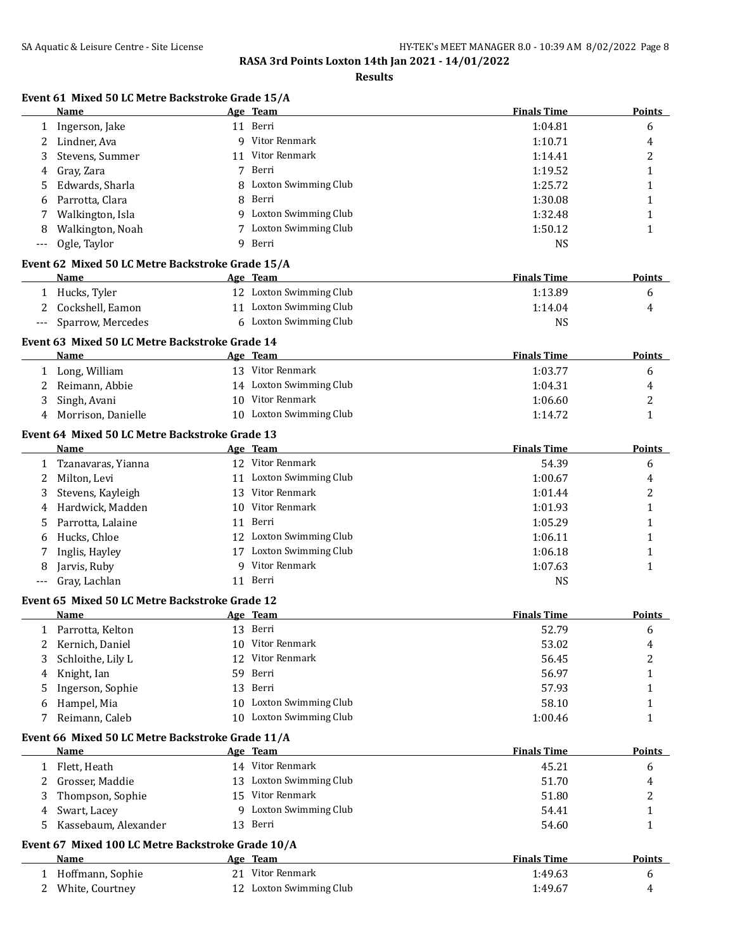**Results**

# **Event 61 Mixed 50 LC Metre Backstroke Grade 15/A**

|              | Name                                                   |    | Age Team                | <b>Finals Time</b> | Points        |
|--------------|--------------------------------------------------------|----|-------------------------|--------------------|---------------|
| 1            | Ingerson, Jake                                         |    | 11 Berri                | 1:04.81            | 6             |
| 2            | Lindner, Ava                                           |    | 9 Vitor Renmark         | 1:10.71            | 4             |
| 3            | Stevens, Summer                                        | 11 | Vitor Renmark           | 1:14.41            | 2             |
| 4            | Gray, Zara                                             | 7  | Berri                   | 1:19.52            | 1             |
| 5            | Edwards, Sharla                                        | 8  | Loxton Swimming Club    | 1:25.72            | 1             |
| 6            | Parrotta, Clara                                        | 8  | Berri                   | 1:30.08            | 1             |
|              | Walkington, Isla                                       |    | 9 Loxton Swimming Club  | 1:32.48            | 1             |
| 8            | Walkington, Noah                                       |    | 7 Loxton Swimming Club  | 1:50.12            | $\mathbf{1}$  |
|              | Ogle, Taylor                                           |    | 9 Berri                 | <b>NS</b>          |               |
|              | Event 62 Mixed 50 LC Metre Backstroke Grade 15/A       |    |                         |                    |               |
|              | Name                                                   |    | Age Team                | <b>Finals Time</b> | <b>Points</b> |
|              | 1 Hucks, Tyler                                         |    | 12 Loxton Swimming Club | 1:13.89            | 6             |
| 2            | Cockshell, Eamon                                       |    | 11 Loxton Swimming Club | 1:14.04            | 4             |
| $---$        | Sparrow, Mercedes                                      |    | 6 Loxton Swimming Club  | <b>NS</b>          |               |
|              |                                                        |    |                         |                    |               |
|              | Event 63 Mixed 50 LC Metre Backstroke Grade 14<br>Name |    | Age Team                | <b>Finals Time</b> | <b>Points</b> |
|              | Long, William                                          |    | 13 Vitor Renmark        | 1:03.77            | 6             |
| $\mathbf{1}$ |                                                        |    | 14 Loxton Swimming Club | 1:04.31            |               |
| 2            | Reimann, Abbie<br>Singh, Avani                         |    | 10 Vitor Renmark        |                    | 4             |
| 3            |                                                        |    | 10 Loxton Swimming Club | 1:06.60            | 2             |
| 4            | Morrison, Danielle                                     |    |                         | 1:14.72            | 1             |
|              | Event 64 Mixed 50 LC Metre Backstroke Grade 13         |    |                         |                    |               |
|              | Name                                                   |    | Age Team                | <b>Finals Time</b> | <b>Points</b> |
| 1            | Tzanavaras, Yianna                                     |    | 12 Vitor Renmark        | 54.39              | 6             |
| 2            | Milton, Levi                                           |    | 11 Loxton Swimming Club | 1:00.67            | 4             |
| 3            | Stevens, Kayleigh                                      |    | 13 Vitor Renmark        | 1:01.44            | 2             |
| 4            | Hardwick, Madden                                       |    | 10 Vitor Renmark        | 1:01.93            | 1             |
| 5            | Parrotta, Lalaine                                      |    | 11 Berri                | 1:05.29            | 1             |
| 6            | Hucks, Chloe                                           |    | 12 Loxton Swimming Club | 1:06.11            | 1             |
| 7            | Inglis, Hayley                                         |    | 17 Loxton Swimming Club | 1:06.18            | 1             |
| 8            | Jarvis, Ruby                                           |    | 9 Vitor Renmark         | 1:07.63            | 1             |
| ---          | Gray, Lachlan                                          |    | 11 Berri                | <b>NS</b>          |               |
|              | Event 65 Mixed 50 LC Metre Backstroke Grade 12         |    |                         |                    |               |
|              | Name                                                   |    | Age Team                | <b>Finals Time</b> | <b>Points</b> |
|              | 1 Parrotta, Kelton                                     |    | 13 Berri                | 52.79              | 6             |
| 2            | Kernich, Daniel                                        | 10 | Vitor Renmark           | 53.02              | 4             |
| 3            | Schloithe, Lily L                                      |    | 12 Vitor Renmark        | 56.45              | 2             |
| 4            | Knight, Ian                                            |    | 59 Berri                | 56.97              | 1             |
| 5            | Ingerson, Sophie                                       |    | 13 Berri                | 57.93              | 1             |
| 6            | Hampel, Mia                                            |    | 10 Loxton Swimming Club | 58.10              | 1             |
| 7            | Reimann, Caleb                                         |    | 10 Loxton Swimming Club | 1:00.46            | 1             |
|              | Event 66 Mixed 50 LC Metre Backstroke Grade 11/A       |    |                         |                    |               |
|              | Name                                                   |    | Age Team                | <b>Finals Time</b> | <b>Points</b> |
|              | 1 Flett, Heath                                         |    | 14 Vitor Renmark        | 45.21              | 6             |
| 2            | Grosser, Maddie                                        |    | 13 Loxton Swimming Club | 51.70              | 4             |
| 3            | Thompson, Sophie                                       |    | 15 Vitor Renmark        | 51.80              | 2             |
| 4            | Swart, Lacey                                           |    | 9 Loxton Swimming Club  | 54.41              | 1             |
| 5            | Kassebaum, Alexander                                   |    | 13 Berri                | 54.60              | 1             |
|              | Event 67 Mixed 100 LC Metre Backstroke Grade 10/A      |    |                         |                    |               |
|              | Name                                                   |    | Age Team                | <b>Finals Time</b> | <b>Points</b> |
|              | 1 Hoffmann, Sophie                                     |    | 21 Vitor Renmark        | 1:49.63            | 6             |
| 2            | White, Courtney                                        |    | 12 Loxton Swimming Club | 1:49.67            | 4             |
|              |                                                        |    |                         |                    |               |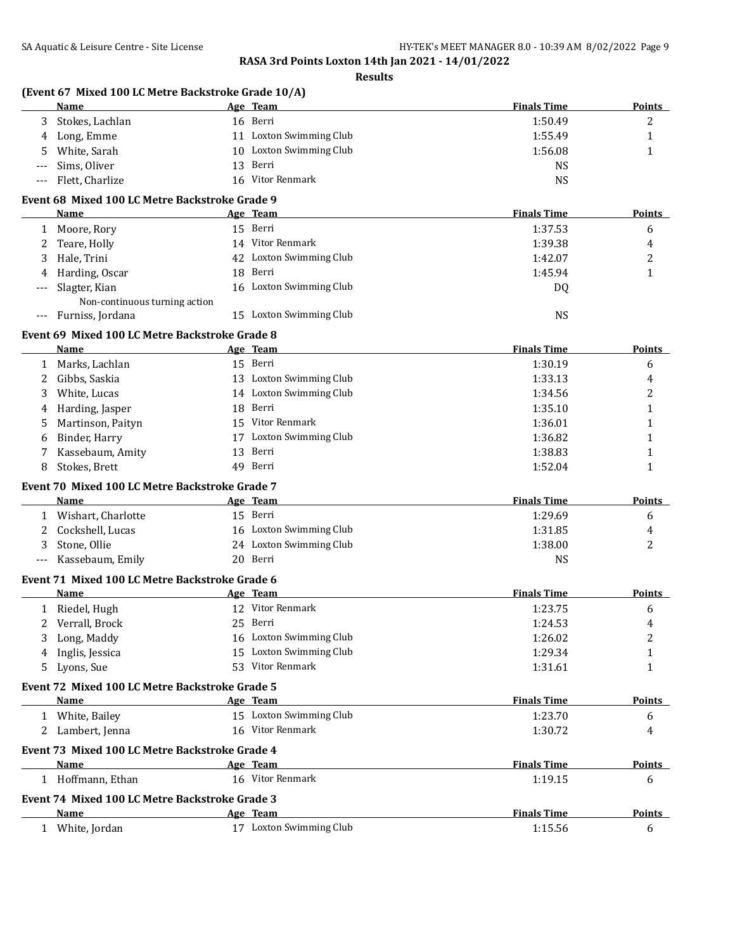$\overline{a}$ 

**RASA 3rd Points Loxton 14th Jan 2021 - 14/01/2022**

**Results**

## **(Event 67 Mixed 100 LC Metre Backstroke Grade 10/A)**

|     | <b>Name</b>      | <u>Age Team</u>         | <b>Finals Time</b> | <b>Points</b> |
|-----|------------------|-------------------------|--------------------|---------------|
|     | Stokes, Lachlan  | 16 Berri                | 1:50.49            | ∸             |
| 4   | Long, Emme       | 11 Loxton Swimming Club | 1:55.49            |               |
| 5.  | White, Sarah     | 10 Loxton Swimming Club | 1:56.08            |               |
|     | --- Sims, Oliver | 13 Berri                | NS                 |               |
| --- | Flett, Charlize  | 16 Vitor Renmark        | NS                 |               |

## **Event 68 Mixed 100 LC Metre Backstroke Grade 9**

|          | Name                          |    | <u>Age Team</u>         | <b>Finals Time</b> | <b>Points</b> |
|----------|-------------------------------|----|-------------------------|--------------------|---------------|
|          | Moore, Rory                   |    | 15 Berri                | 1:37.53            | 6             |
|          | Teare, Holly                  |    | 14 Vitor Renmark        | 1:39.38            | 4             |
|          | Hale, Trini                   |    | 42 Loxton Swimming Club | 1:42.07            | າ<br>∼        |
| 4        | Harding, Oscar                |    | 18 Berri                | 1:45.94            |               |
| $---$    | Slagter, Kian                 |    | 16 Loxton Swimming Club | DQ                 |               |
|          | Non-continuous turning action |    |                         |                    |               |
| $\cdots$ | Furniss, Jordana              | 15 | Loxton Swimming Club    | NS                 |               |

### **Event 69 Mixed 100 LC Metre Backstroke Grade 8**

|   | <b>Name</b>                                    | Age Team                | <b>Finals Time</b> | <b>Points</b> |
|---|------------------------------------------------|-------------------------|--------------------|---------------|
| 1 | Marks, Lachlan                                 | 15 Berri                | 1:30.19            | 6             |
|   | Gibbs, Saskia                                  | 13 Loxton Swimming Club | 1:33.13            | 4             |
| 3 | White, Lucas                                   | 14 Loxton Swimming Club | 1:34.56            | 2             |
| 4 | Harding, Jasper                                | 18 Berri                | 1:35.10            | 1             |
| 5 | Martinson, Paityn                              | 15 Vitor Renmark        | 1:36.01            | 1             |
| 6 | Binder, Harry                                  | 17 Loxton Swimming Club | 1:36.82            | 1             |
|   | Kassebaum, Amity                               | 13 Berri                | 1:38.83            | 1             |
| 8 | Stokes, Brett                                  | 49 Berri                | 1:52.04            | 1             |
|   | Event 70 Mixed 100 LC Metre Backstroke Grade 7 |                         |                    |               |
|   | Name                                           | Age Team                | <b>Finals Time</b> | <b>Points</b> |
| 1 | Wishart, Charlotte                             | 15 Berri                | 1:29.69            | 6             |
|   | Cockshell, Lucas                               | 16 Loxton Swimming Club | 1:31.85            | 4             |
| 3 | Stone, Ollie                                   | 24 Loxton Swimming Club | 1:38.00            | 2             |
|   | Kassebaum, Emily                               | 20 Berri                | <b>NS</b>          |               |
|   | Event 71 Mixed 100 LC Metre Backstroke Grade 6 |                         |                    |               |
|   | Name                                           | Age Team                | <b>Finals Time</b> | <b>Points</b> |
| 1 | Riedel, Hugh                                   | 12 Vitor Renmark        | 1:23.75            | 6             |
| 2 | Verrall, Brock                                 | 25 Berri                | 1:24.53            | 4             |
| 3 | Long, Maddy                                    | 16 Loxton Swimming Club | 1:26.02            | 2             |
|   | Inglis, Jessica                                | 15 Loxton Swimming Club | 1:29.34            | 1             |
|   | Lyons, Sue                                     | 53 Vitor Renmark        | 1:31.61            | 1             |
|   | Event 72 Mixed 100 LC Metre Backstroke Grade 5 |                         |                    |               |
|   | Name                                           | Age Team                | <b>Finals Time</b> | <b>Points</b> |
|   | 1 White, Bailey                                | 15 Loxton Swimming Club | 1:23.70            | 6             |
|   | Lambert, Jenna                                 | 16 Vitor Renmark        | 1:30.72            | 4             |
|   | Event 73 Mixed 100 LC Metre Backstroke Grade 4 |                         |                    |               |
|   | Name                                           | Age Team                | <b>Finals Time</b> | Points        |
|   | 1 Hoffmann, Ethan                              | 16 Vitor Renmark        | 1:19.15            | 6             |
|   | Event 74 Mixed 100 LC Metre Backstroke Grade 3 |                         |                    |               |
|   | Name                                           | Age Team                | <b>Finals Time</b> | Points        |
|   | 1 White, Jordan                                | 17 Loxton Swimming Club | 1:15.56            | 6             |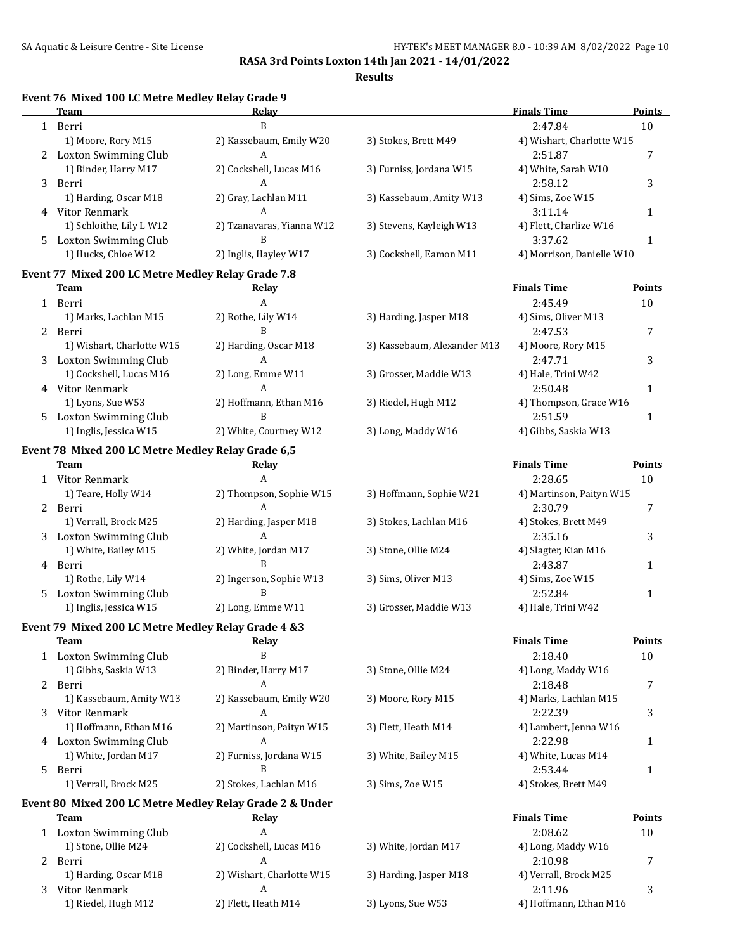|    |                                                                   |                                | RASA 31'U POINIS LOXION 14'UI JAN 2021 - 14/01/2022<br><b>Results</b> |                                |               |
|----|-------------------------------------------------------------------|--------------------------------|-----------------------------------------------------------------------|--------------------------------|---------------|
|    | Event 76 Mixed 100 LC Metre Medley Relay Grade 9<br><b>Team</b>   | Relay                          |                                                                       | <b>Finals Time</b>             | Points        |
|    | 1 Berri                                                           | $\, {\bf B}$                   |                                                                       | 2:47.84                        | 10            |
|    | 1) Moore, Rory M15                                                | 2) Kassebaum, Emily W20        | 3) Stokes, Brett M49                                                  | 4) Wishart, Charlotte W15      |               |
|    | 2 Loxton Swimming Club                                            | A                              |                                                                       | 2:51.87                        | 7             |
|    | 1) Binder, Harry M17                                              | 2) Cockshell, Lucas M16        | 3) Furniss, Jordana W15                                               | 4) White, Sarah W10            |               |
| 3  | Berri                                                             | A                              |                                                                       | 2:58.12                        | 3             |
|    | 1) Harding, Oscar M18                                             | 2) Gray, Lachlan M11           | 3) Kassebaum, Amity W13                                               | 4) Sims, Zoe W15               |               |
|    | 4 Vitor Renmark                                                   | A                              |                                                                       |                                |               |
|    | 1) Schloithe, Lily L W12                                          |                                |                                                                       | 3:11.14                        | $\mathbf{1}$  |
|    |                                                                   | 2) Tzanavaras, Yianna W12<br>B | 3) Stevens, Kayleigh W13                                              | 4) Flett, Charlize W16         |               |
| 5. | Loxton Swimming Club                                              |                                |                                                                       | 3:37.62                        | $\mathbf{1}$  |
|    | 1) Hucks, Chloe W12                                               | 2) Inglis, Hayley W17          | 3) Cockshell, Eamon M11                                               | 4) Morrison, Danielle W10      |               |
|    | Event 77 Mixed 200 LC Metre Medley Relay Grade 7.8<br><b>Team</b> | Relay                          |                                                                       | <b>Finals Time</b>             | Points        |
|    |                                                                   | A                              |                                                                       |                                |               |
|    | 1 Berri                                                           |                                |                                                                       | 2:45.49                        | 10            |
|    | 1) Marks, Lachlan M15<br>2 Berri                                  | 2) Rothe, Lily W14<br>B        | 3) Harding, Jasper M18                                                | 4) Sims, Oliver M13<br>2:47.53 | 7             |
|    | 1) Wishart, Charlotte W15                                         | 2) Harding, Oscar M18          | 3) Kassebaum, Alexander M13                                           | 4) Moore, Rory M15             |               |
|    | <b>Loxton Swimming Club</b>                                       | A                              |                                                                       | 2:47.71                        |               |
| 3  | 1) Cockshell, Lucas M16                                           | 2) Long, Emme W11              | 3) Grosser, Maddie W13                                                | 4) Hale, Trini W42             | 3             |
|    |                                                                   | A                              |                                                                       |                                |               |
|    | 4 Vitor Renmark                                                   |                                |                                                                       | 2:50.48                        | $\mathbf{1}$  |
|    | 1) Lyons, Sue W53                                                 | 2) Hoffmann, Ethan M16<br>B    | 3) Riedel, Hugh M12                                                   | 4) Thompson, Grace W16         |               |
| 5  | <b>Loxton Swimming Club</b>                                       |                                |                                                                       | 2:51.59                        | $\mathbf{1}$  |
|    | 1) Inglis, Jessica W15                                            | 2) White, Courtney W12         | 3) Long, Maddy W16                                                    | 4) Gibbs, Saskia W13           |               |
|    | Event 78 Mixed 200 LC Metre Medley Relay Grade 6,5                |                                |                                                                       |                                |               |
|    | <b>Team</b>                                                       | Relay                          |                                                                       | <b>Finals Time</b>             | Points        |
|    | 1 Vitor Renmark                                                   | $\overline{A}$                 |                                                                       | 2:28.65                        | 10            |
|    | 1) Teare, Holly W14                                               | 2) Thompson, Sophie W15        | 3) Hoffmann, Sophie W21                                               | 4) Martinson, Paityn W15       |               |
|    | 2 Berri                                                           | A                              |                                                                       | 2:30.79                        | 7             |
|    | 1) Verrall, Brock M25                                             | 2) Harding, Jasper M18         | 3) Stokes, Lachlan M16                                                | 4) Stokes, Brett M49           |               |
|    | 3 Loxton Swimming Club                                            | A                              |                                                                       | 2:35.16                        | 3             |
|    | 1) White, Bailey M15                                              | 2) White, Jordan M17           | 3) Stone, Ollie M24                                                   | 4) Slagter, Kian M16           |               |
| 4  | Berri                                                             | B                              |                                                                       | 2:43.87                        | $\mathbf{1}$  |
|    | 1) Rothe, Lily W14                                                | 2) Ingerson, Sophie W13        | 3) Sims, Oliver M13                                                   | 4) Sims, Zoe W15               |               |
| 5. | <b>Loxton Swimming Club</b>                                       | B                              |                                                                       | 2:52.84                        | $\mathbf{1}$  |
|    | 1) Inglis, Jessica W15                                            | 2) Long, Emme W11              | 3) Grosser, Maddie W13                                                | 4) Hale, Trini W42             |               |
|    | Event 79 Mixed 200 LC Metre Medley Relay Grade 4 &3               |                                |                                                                       |                                |               |
|    | <b>Team</b>                                                       | <b>Relay</b>                   |                                                                       | <b>Finals Time</b>             | <b>Points</b> |
|    | 1 Loxton Swimming Club                                            | B                              |                                                                       | 2:18.40                        | 10            |
|    | 1) Gibbs, Saskia W13                                              | 2) Binder, Harry M17           | 3) Stone, Ollie M24                                                   | 4) Long, Maddy W16             |               |
|    | 2 Berri                                                           | A                              |                                                                       | 2:18.48                        | 7             |
|    | 1) Kassebaum, Amity W13                                           | 2) Kassebaum, Emily W20        | 3) Moore, Rory M15                                                    | 4) Marks, Lachlan M15          |               |
|    | Vitor Renmark                                                     | A                              |                                                                       | 2:22.39                        |               |
| 3  | 1) Hoffmann, Ethan M16                                            |                                |                                                                       |                                | 3             |
|    |                                                                   | 2) Martinson, Paityn W15<br>A  | 3) Flett, Heath M14                                                   | 4) Lambert, Jenna W16          |               |
| 4  | <b>Loxton Swimming Club</b>                                       |                                |                                                                       | 2:22.98                        | 1             |
|    | 1) White, Jordan M17                                              | 2) Furniss, Jordana W15        | 3) White, Bailey M15                                                  | 4) White, Lucas M14            |               |
| 5  | Berri                                                             | B                              |                                                                       | 2:53.44                        | 1             |
|    | 1) Verrall, Brock M25                                             | 2) Stokes, Lachlan M16         | 3) Sims, Zoe W15                                                      | 4) Stokes, Brett M49           |               |
|    | Event 80 Mixed 200 LC Metre Medley Relay Grade 2 & Under          |                                |                                                                       |                                |               |
|    | <b>Team</b>                                                       | <b>Relay</b>                   |                                                                       | <b>Finals Time</b>             | Points        |
|    | 1 Loxton Swimming Club                                            | A                              |                                                                       | 2:08.62                        | 10            |
|    | 1) Stone, Ollie M24                                               | 2) Cockshell, Lucas M16        | 3) White, Jordan M17                                                  | 4) Long, Maddy W16             |               |

| Team                  | Relay                     |                        | <b>Finals Time</b>     | Points |
|-----------------------|---------------------------|------------------------|------------------------|--------|
| Loxton Swimming Club  | A                         |                        | 2:08.62                | 10     |
| 1) Stone, Ollie M24   | 2) Cockshell, Lucas M16   | 3) White, Jordan M17   | 4) Long, Maddy W16     |        |
| Berri                 | A                         |                        | 2:10.98                |        |
| 1) Harding, Oscar M18 | 2) Wishart, Charlotte W15 | 3) Harding, Jasper M18 | 4) Verrall, Brock M25  |        |
| Vitor Renmark         | A                         |                        | 2:11.96                |        |
| 1) Riedel, Hugh M12   | 2) Flett, Heath M14       | 3) Lyons, Sue W53      | 4) Hoffmann, Ethan M16 |        |